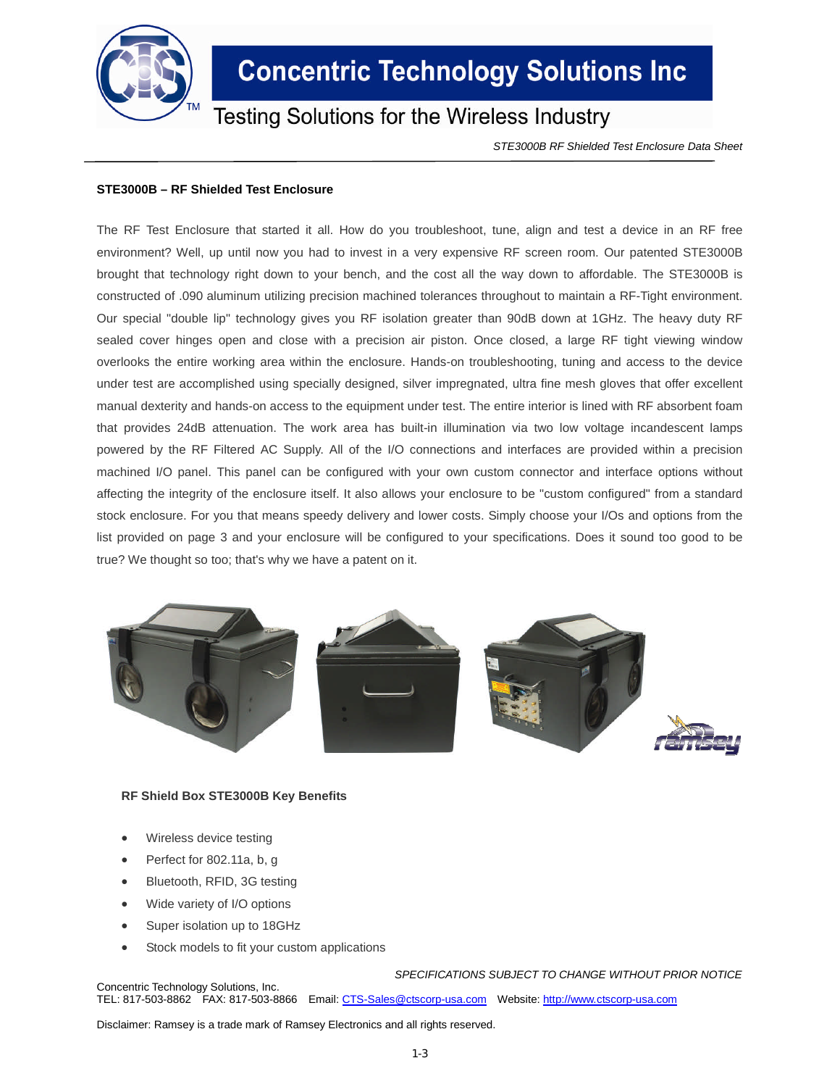

## **Concentric Technology Solutions Inc**

### **Testing Solutions for the Wireless Industry**

*STE3000B RF Shielded Test Enclosure Data Sheet*

#### **STE3000B – RF Shielded Test Enclosure**

The RF Test Enclosure that started it all. How do you troubleshoot, tune, align and test a device in an RF free environment? Well, up until now you had to invest in a very expensive RF screen room. Our patented STE3000B brought that technology right down to your bench, and the cost all the way down to affordable. The STE3000B is constructed of .090 aluminum utilizing precision machined tolerances throughout to maintain a RF-Tight environment. Our special "double lip" technology gives you RF isolation greater than 90dB down at 1GHz. The heavy duty RF sealed cover hinges open and close with a precision air piston. Once closed, a large RF tight viewing window overlooks the entire working area within the enclosure. Hands-on troubleshooting, tuning and access to the device under test are accomplished using specially designed, silver impregnated, ultra fine mesh gloves that offer excellent manual dexterity and hands-on access to the equipment under test. The entire interior is lined with RF absorbent foam that provides 24dB attenuation. The work area has built-in illumination via two low voltage incandescent lamps powered by the RF Filtered AC Supply. All of the I/O connections and interfaces are provided within a precision machined I/O panel. This panel can be configured with your own custom connector and interface options without affecting the integrity of the enclosure itself. It also allows your enclosure to be "custom configured" from a standard stock enclosure. For you that means speedy delivery and lower costs. Simply choose your I/Os and options from the list provided on page 3 and your enclosure will be configured to your specifications. Does it sound too good to be true? We thought so too; that's why we have a patent on it.



#### **RF Shield Box STE3000B Key Benefits**

- Wireless device testing
- Perfect for 802.11a, b, g
- Bluetooth, RFID, 3G testing
- Wide variety of I/O options
- Super isolation up to 18GHz
- Stock models to fit your custom applications

*SPECIFICATIONS SUBJECT TO CHANGE WITHOUT PRIOR NOTICE* Concentric Technology Solutions, Inc.

TEL: 817-503-8862 FAX: 817-503-8866 Email: CTS-Sales@ctscorp-usa.com Website: http://www.ctscorp-usa.com

Disclaimer: Ramsey is a trade mark of Ramsey Electronics and all rights reserved.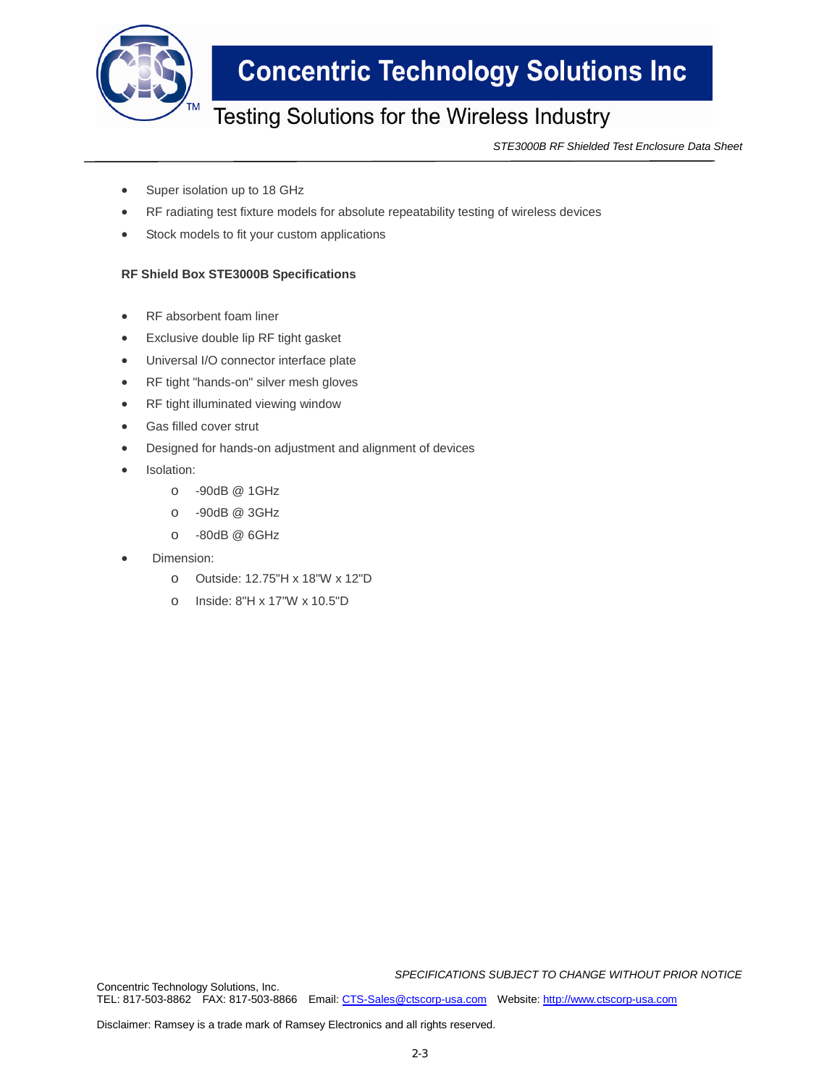

## **Concentric Technology Solutions Inc**

### Testing Solutions for the Wireless Industry

*STE3000B RF Shielded Test Enclosure Data Sheet*

- Super isolation up to 18 GHz
- RF radiating test fixture models for absolute repeatability testing of wireless devices
- Stock models to fit your custom applications

### **RF Shield Box STE3000B Specifications**

- RF absorbent foam liner
- Exclusive double lip RF tight gasket
- Universal I/O connector interface plate
- RF tight "hands-on" silver mesh gloves
- RF tight illuminated viewing window
- Gas filled cover strut
- Designed for hands-on adjustment and alignment of devices
- Isolation:
	- o -90dB @ 1GHz
	- o -90dB @ 3GHz
	- o -80dB @ 6GHz
- Dimension:
	- o Outside: 12.75"H x 18"W x 12"D
	- o Inside: 8"H x 17"W x 10.5"D

*SPECIFICATIONS SUBJECT TO CHANGE WITHOUT PRIOR NOTICE*

Concentric Technology Solutions, Inc. TEL: 817-503-8862 FAX: 817-503-8866 Email: CTS-Sales@ctscorp-usa.com Website: http://www.ctscorp-usa.com

Disclaimer: Ramsey is a trade mark of Ramsey Electronics and all rights reserved.